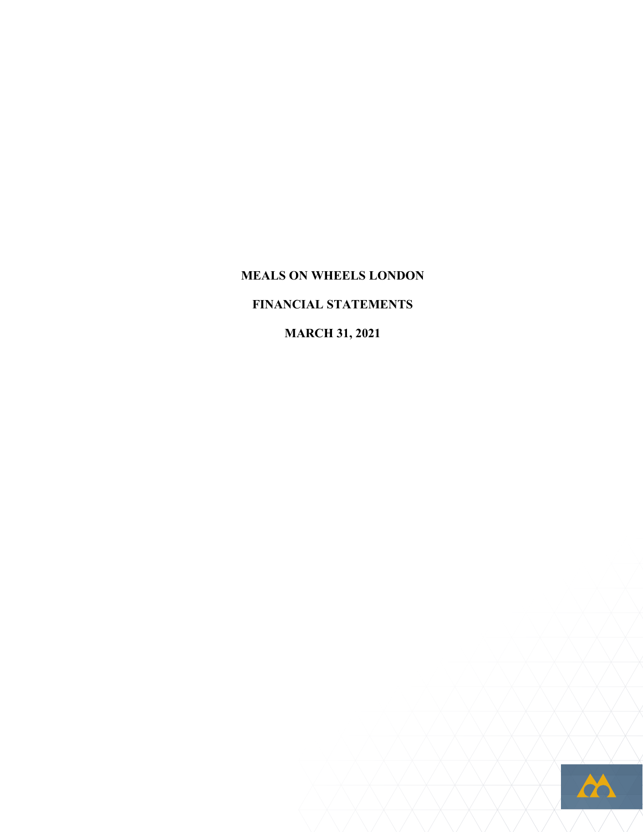**MEALS ON WHEELS LONDON FINANCIAL STATEMENTS MARCH 31, 2021**

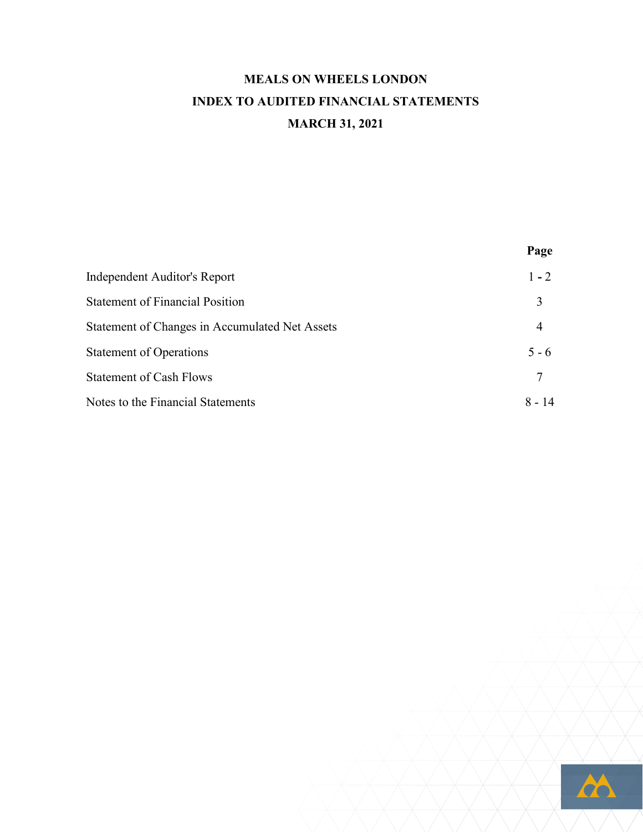## **MEALS ON WHEELS LONDON INDEX TO AUDITED FINANCIAL STATEMENTS MARCH 31, 2021**

|                                                | rage     |
|------------------------------------------------|----------|
| Independent Auditor's Report                   | $1 - 2$  |
| <b>Statement of Financial Position</b>         | 3        |
| Statement of Changes in Accumulated Net Assets | 4        |
| <b>Statement of Operations</b>                 | $5 - 6$  |
| <b>Statement of Cash Flows</b>                 | 7        |
| Notes to the Financial Statements              | $8 - 14$ |
|                                                |          |



**Page**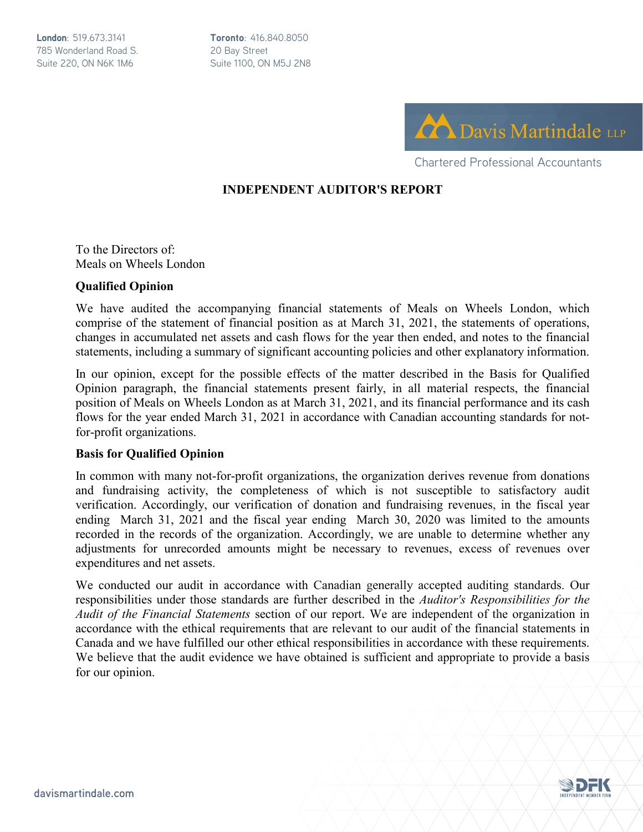**London**: 519.673.3141 785 Wonderland Road S. Suite 220, ON N6K 1M6

**Toronto**: 416.840.8050 20 Bay Street Suite 1100, ON M5J 2N8



Chartered Professional Accountants

#### **INDEPENDENT AUDITOR'S REPORT**

To the Directors of: Meals on Wheels London

#### **Qualified Opinion**

We have audited the accompanying financial statements of Meals on Wheels London, which comprise of the statement of financial position as at March 31, 2021, the statements of operations, changes in accumulated net assets and cash flows for the year then ended, and notes to the financial statements, including a summary of significant accounting policies and other explanatory information.

In our opinion, except for the possible effects of the matter described in the Basis for Qualified Opinion paragraph, the financial statements present fairly, in all material respects, the financial position of Meals on Wheels London as at March 31, 2021, and its financial performance and its cash flows for the year ended March 31, 2021 in accordance with Canadian accounting standards for notfor-profit organizations.

#### **Basis for Qualified Opinion**

In common with many not-for-profit organizations, the organization derives revenue from donations and fundraising activity, the completeness of which is not susceptible to satisfactory audit verification. Accordingly, our verification of donation and fundraising revenues, in the fiscal year ending March 31, 2021 and the fiscal year ending March 30, 2020 was limited to the amounts recorded in the records of the organization. Accordingly, we are unable to determine whether any adjustments for unrecorded amounts might be necessary to revenues, excess of revenues over expenditures and net assets.

We conducted our audit in accordance with Canadian generally accepted auditing standards. Our responsibilities under those standards are further described in the *Auditor's Responsibilities for the Audit of the Financial Statements* section of our report. We are independent of the organization in accordance with the ethical requirements that are relevant to our audit of the financial statements in Canada and we have fulfilled our other ethical responsibilities in accordance with these requirements. We believe that the audit evidence we have obtained is sufficient and appropriate to provide a basis for our opinion.

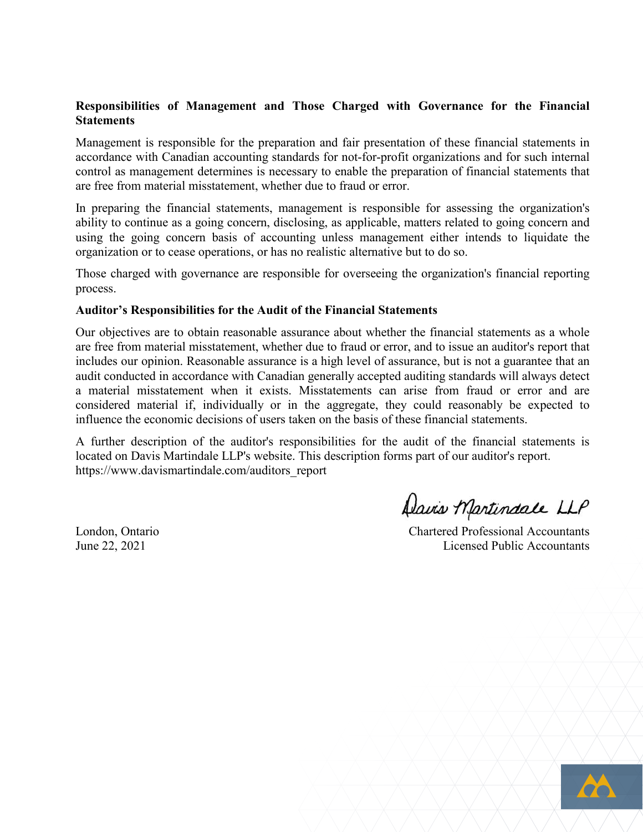#### **Responsibilities of Management and Those Charged with Governance for the Financial Statements**

Management is responsible for the preparation and fair presentation of these financial statements in accordance with Canadian accounting standards for not-for-profit organizations and for such internal control as management determines is necessary to enable the preparation of financial statements that are free from material misstatement, whether due to fraud or error.

In preparing the financial statements, management is responsible for assessing the organization's ability to continue as a going concern, disclosing, as applicable, matters related to going concern and using the going concern basis of accounting unless management either intends to liquidate the organization or to cease operations, or has no realistic alternative but to do so.

Those charged with governance are responsible for overseeing the organization's financial reporting process.

#### **Auditor's Responsibilities for the Audit of the Financial Statements**

Our objectives are to obtain reasonable assurance about whether the financial statements as a whole are free from material misstatement, whether due to fraud or error, and to issue an auditor's report that includes our opinion. Reasonable assurance is a high level of assurance, but is not a guarantee that an audit conducted in accordance with Canadian generally accepted auditing standards will always detect a material misstatement when it exists. Misstatements can arise from fraud or error and are considered material if, individually or in the aggregate, they could reasonably be expected to influence the economic decisions of users taken on the basis of these financial statements.

A further description of the auditor's responsibilities for the audit of the financial statements is located on Davis Martindale LLP's website. This description forms part of our auditor's report. https://www.davismartindale.com/auditors\_report

Davis Martindale LLP

London, Ontario Chartered Professional Accountants June 22, 2021 Licensed Public Accountants

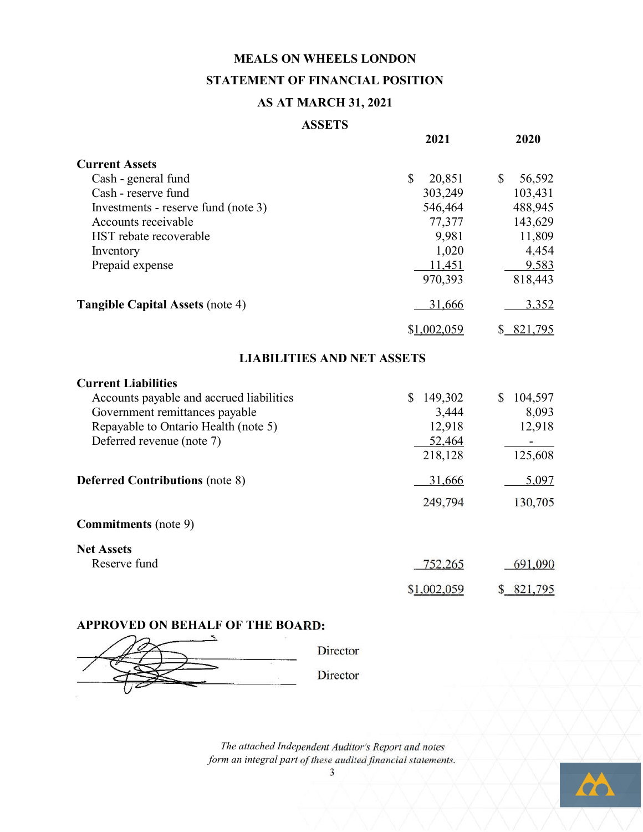### **MEALS ON WHEELS LONDON** STATEMENT OF FINANCIAL POSITION

#### **AS AT MARCH 31, 2021**

#### **ASSETS**

| 2021                                                                                          | 2020                                                                                           |
|-----------------------------------------------------------------------------------------------|------------------------------------------------------------------------------------------------|
| $\mathbb{S}$<br>20,851<br>303,249<br>546,464<br>77,377<br>9,981<br>1,020<br>11,451<br>970,393 | $\mathbb{S}$<br>56,592<br>103,431<br>488,945<br>143,629<br>11,809<br>4,454<br>9,583<br>818,443 |
| 31,666                                                                                        | 3,352                                                                                          |
| \$1,002,059                                                                                   | \$ 821,795                                                                                     |
| <b>LIABILITIES AND NET ASSETS</b>                                                             |                                                                                                |
| 149,302<br>\$<br>3,444<br>12,918<br>52,464<br>218,128                                         | 104,597<br>\$<br>8,093<br>12,918<br>125,608                                                    |
| 31,666                                                                                        | 5,097                                                                                          |
| 249,794                                                                                       | 130,705                                                                                        |
|                                                                                               |                                                                                                |
| 752,265<br>\$1,002,059                                                                        | 691,090<br>\$ 821,795                                                                          |
|                                                                                               |                                                                                                |

# APPROVED ON BEHALF OF THE BOARD:

Director Director

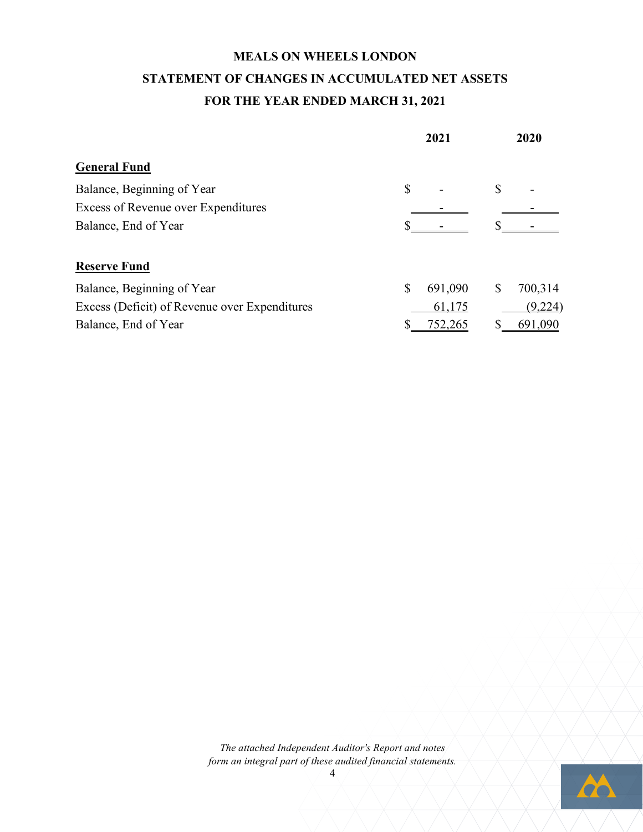### **MEALS ON WHEELS LONDON STATEMENT OF CHANGES IN ACCUMULATED NET ASSETS FOR THE YEAR ENDED MARCH 31, 2021**

|                                               |              | 2021    | 2020 |         |  |
|-----------------------------------------------|--------------|---------|------|---------|--|
| <b>General Fund</b>                           |              |         |      |         |  |
| Balance, Beginning of Year                    | $\mathbb{S}$ |         | \$   |         |  |
| <b>Excess of Revenue over Expenditures</b>    |              |         |      |         |  |
| Balance, End of Year                          |              |         |      |         |  |
| <b>Reserve Fund</b>                           |              |         |      |         |  |
| Balance, Beginning of Year                    | S            | 691,090 | \$   | 700,314 |  |
| Excess (Deficit) of Revenue over Expenditures |              | 61,175  |      | (9,224) |  |
| Balance, End of Year                          |              | 752,265 |      | 691,090 |  |

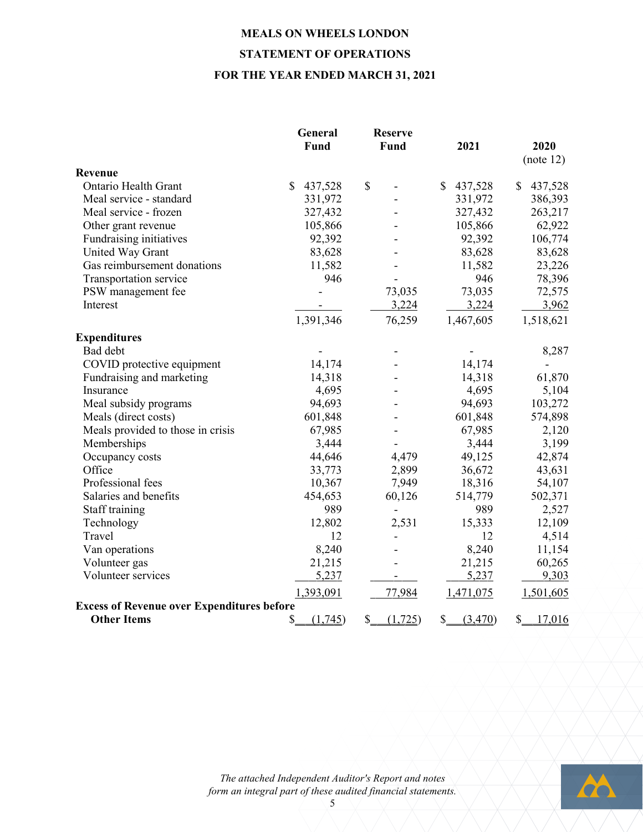### **MEALS ON WHEELS LONDON STATEMENT OF OPERATIONS FOR THE YEAR ENDED MARCH 31, 2021**

|                                                   | General<br>Fund         | <b>Reserve</b><br>Fund   | 2021                    | 2020          |
|---------------------------------------------------|-------------------------|--------------------------|-------------------------|---------------|
| Revenue                                           |                         |                          |                         | (note 12)     |
| <b>Ontario Health Grant</b>                       | $\mathbb{S}$<br>437,528 | \$                       | $\mathbb{S}$<br>437,528 | \$<br>437,528 |
| Meal service - standard                           | 331,972                 |                          | 331,972                 | 386,393       |
| Meal service - frozen                             | 327,432                 |                          | 327,432                 | 263,217       |
| Other grant revenue                               | 105,866                 |                          | 105,866                 | 62,922        |
| Fundraising initiatives                           | 92,392                  |                          | 92,392                  | 106,774       |
| United Way Grant                                  | 83,628                  |                          | 83,628                  | 83,628        |
| Gas reimbursement donations                       | 11,582                  |                          | 11,582                  | 23,226        |
| Transportation service                            | 946                     |                          | 946                     | 78,396        |
| PSW management fee                                |                         | 73,035                   | 73,035                  | 72,575        |
| Interest                                          |                         | 3,224                    | 3,224                   | 3,962         |
|                                                   | 1,391,346               | 76,259                   | 1,467,605               | 1,518,621     |
| <b>Expenditures</b>                               |                         |                          |                         |               |
| Bad debt                                          |                         |                          |                         | 8,287         |
| COVID protective equipment                        | 14,174                  |                          | 14,174                  |               |
| Fundraising and marketing                         | 14,318                  |                          | 14,318                  | 61,870        |
| Insurance                                         | 4,695                   |                          | 4,695                   | 5,104         |
| Meal subsidy programs                             | 94,693                  |                          | 94,693                  | 103,272       |
| Meals (direct costs)                              | 601,848                 |                          | 601,848                 | 574,898       |
| Meals provided to those in crisis                 | 67,985                  |                          | 67,985                  | 2,120         |
| Memberships                                       | 3,444                   |                          | 3,444                   | 3,199         |
| Occupancy costs                                   | 44,646                  | 4,479                    | 49,125                  | 42,874        |
| Office                                            | 33,773                  | 2,899                    | 36,672                  | 43,631        |
| Professional fees                                 | 10,367                  | 7,949                    | 18,316                  | 54,107        |
| Salaries and benefits                             | 454,653                 | 60,126                   | 514,779                 | 502,371       |
| Staff training                                    | 989                     | L,                       | 989                     | 2,527         |
| Technology                                        | 12,802                  | 2,531                    | 15,333                  | 12,109        |
| Travel                                            | 12                      |                          | 12                      | 4,514         |
| Van operations                                    | 8,240                   |                          | 8,240                   | 11,154        |
| Volunteer gas                                     | 21,215                  |                          | 21,215                  | 60,265        |
| Volunteer services                                | 5,237                   |                          | 5,237                   | 9,303         |
|                                                   | 1,393,091               | 77,984                   | 1,471,075               | 1,501,605     |
| <b>Excess of Revenue over Expenditures before</b> |                         |                          |                         |               |
| <b>Other Items</b>                                | \$<br>(1,745)           | $\mathbb{S}$<br>(1, 725) | \$<br>(3,470)           | \$<br>17,016  |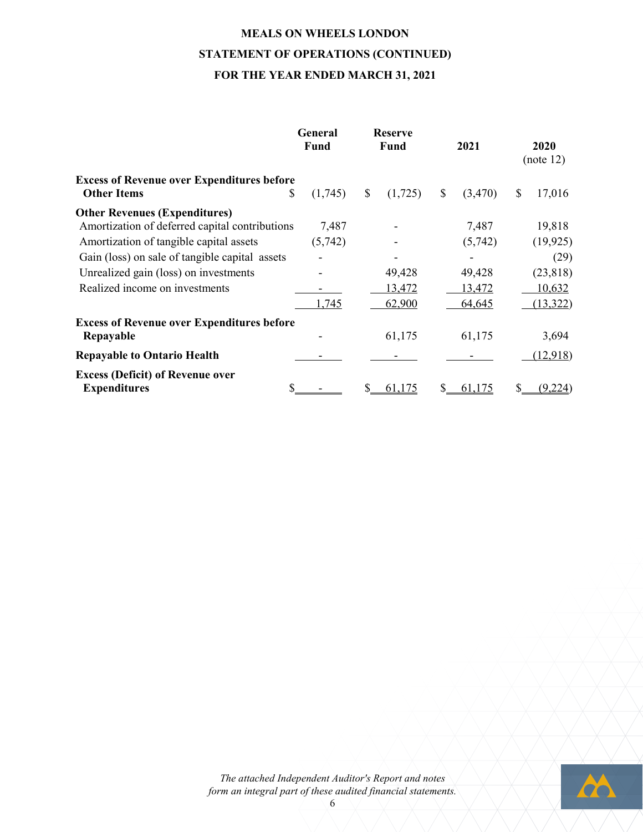### **MEALS ON WHEELS LONDON STATEMENT OF OPERATIONS (CONTINUED) FOR THE YEAR ENDED MARCH 31, 2021**

|                                                                                        | General<br>Fund |              | <b>Reserve</b><br><b>Fund</b> | 2021          | 2020<br>(note 12) |
|----------------------------------------------------------------------------------------|-----------------|--------------|-------------------------------|---------------|-------------------|
| <b>Excess of Revenue over Expenditures before</b><br><b>Other Items</b><br>\$          | (1,745)         | $\mathbb{S}$ | (1,725)                       | \$<br>(3,470) | \$<br>17,016      |
| <b>Other Revenues (Expenditures)</b><br>Amortization of deferred capital contributions | 7,487           |              |                               | 7,487         | 19,818            |
| Amortization of tangible capital assets                                                | (5,742)         |              |                               | (5,742)       | (19, 925)         |
| Gain (loss) on sale of tangible capital assets                                         |                 |              |                               |               | (29)              |
| Unrealized gain (loss) on investments                                                  |                 |              | 49,428                        | 49,428        | (23, 818)         |
| Realized income on investments                                                         |                 |              | 13,472                        | 13,472        | 10,632            |
|                                                                                        | 1,745           |              | 62,900                        | 64,645        | (13, 322)         |
| <b>Excess of Revenue over Expenditures before</b>                                      |                 |              |                               |               |                   |
| Repayable                                                                              |                 |              | 61,175                        | 61,175        | 3,694             |
| <b>Repayable to Ontario Health</b>                                                     |                 |              |                               |               | (12,918)          |
| <b>Excess (Deficit) of Revenue over</b><br><b>Expenditures</b>                         |                 |              | 61,175                        | 61,175        | (9,224)           |



6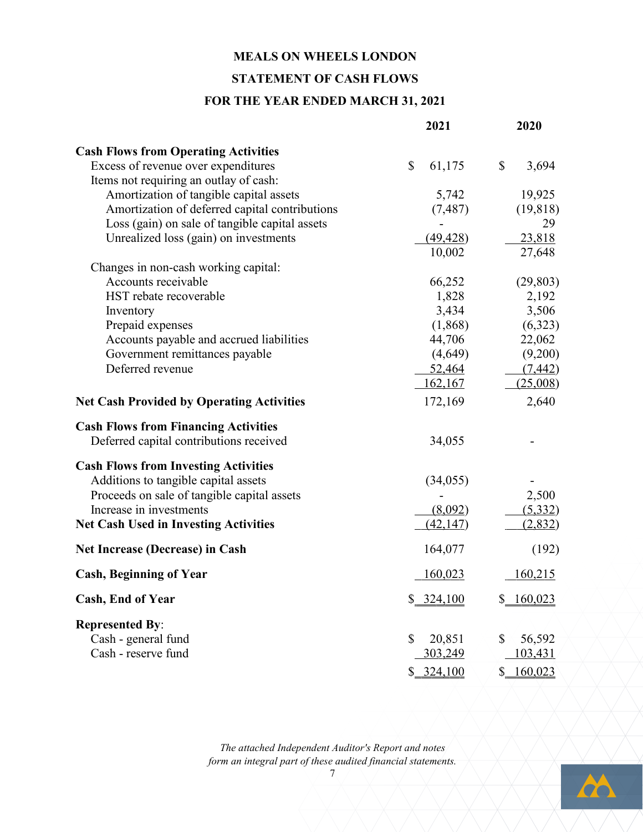#### **MEALS ON WHEELS LONDON**

#### **STATEMENT OF CASH FLOWS**

#### **FOR THE YEAR ENDED MARCH 31, 2021**

|                                                  | 2021           | 2020         |
|--------------------------------------------------|----------------|--------------|
| <b>Cash Flows from Operating Activities</b>      |                |              |
| Excess of revenue over expenditures              | \$<br>61,175   | \$<br>3,694  |
| Items not requiring an outlay of cash:           |                |              |
| Amortization of tangible capital assets          | 5,742          | 19,925       |
| Amortization of deferred capital contributions   | (7, 487)       | (19, 818)    |
| Loss (gain) on sale of tangible capital assets   |                | 29           |
| Unrealized loss (gain) on investments            | (49, 428)      | 23,818       |
|                                                  | 10,002         | 27,648       |
| Changes in non-cash working capital:             |                |              |
| Accounts receivable                              | 66,252         | (29, 803)    |
| HST rebate recoverable                           | 1,828          | 2,192        |
| Inventory                                        | 3,434          | 3,506        |
| Prepaid expenses                                 | (1,868)        | (6,323)      |
| Accounts payable and accrued liabilities         | 44,706         | 22,062       |
| Government remittances payable                   | (4,649)        | (9,200)      |
| Deferred revenue                                 | 52,464         | (7, 442)     |
|                                                  | <u>162,167</u> | (25,008)     |
| <b>Net Cash Provided by Operating Activities</b> | 172,169        | 2,640        |
| <b>Cash Flows from Financing Activities</b>      |                |              |
| Deferred capital contributions received          | 34,055         |              |
| <b>Cash Flows from Investing Activities</b>      |                |              |
| Additions to tangible capital assets             | (34, 055)      |              |
| Proceeds on sale of tangible capital assets      |                | 2,500        |
| Increase in investments                          | (8,092)        | (5, 332)     |
| <b>Net Cash Used in Investing Activities</b>     | (42, 147)      | (2,832)      |
| <b>Net Increase (Decrease) in Cash</b>           | 164,077        | (192)        |
| <b>Cash, Beginning of Year</b>                   | 160,023        | 160,215      |
| Cash, End of Year                                | \$ 324,100     | \$160,023    |
| <b>Represented By:</b>                           |                |              |
| Cash - general fund                              | \$<br>20,851   | \$<br>56,592 |
| Cash - reserve fund                              | 303,249        | 103,431      |
|                                                  |                |              |
|                                                  | \$224,100      | \$160,023    |

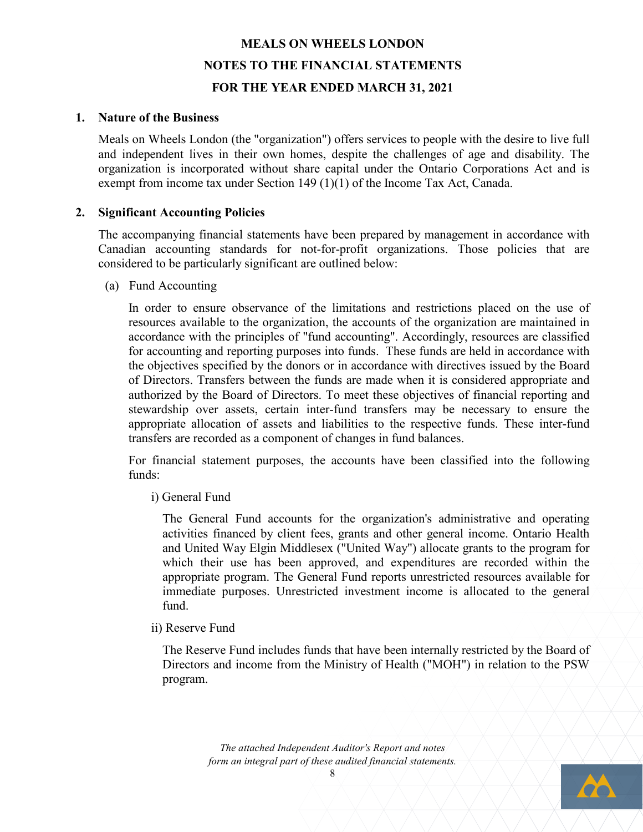#### **1. Nature of the Business**

Meals on Wheels London (the "organization") offers services to people with the desire to live full and independent lives in their own homes, despite the challenges of age and disability. The organization is incorporated without share capital under the Ontario Corporations Act and is exempt from income tax under Section 149 (1)(1) of the Income Tax Act, Canada.

#### **2. Significant Accounting Policies**

The accompanying financial statements have been prepared by management in accordance with Canadian accounting standards for not-for-profit organizations. Those policies that are considered to be particularly significant are outlined below:

(a) Fund Accounting

In order to ensure observance of the limitations and restrictions placed on the use of resources available to the organization, the accounts of the organization are maintained in accordance with the principles of "fund accounting". Accordingly, resources are classified for accounting and reporting purposes into funds. These funds are held in accordance with the objectives specified by the donors or in accordance with directives issued by the Board of Directors. Transfers between the funds are made when it is considered appropriate and authorized by the Board of Directors. To meet these objectives of financial reporting and stewardship over assets, certain inter-fund transfers may be necessary to ensure the appropriate allocation of assets and liabilities to the respective funds. These inter-fund transfers are recorded as a component of changes in fund balances.

For financial statement purposes, the accounts have been classified into the following funds:

i) General Fund

The General Fund accounts for the organization's administrative and operating activities financed by client fees, grants and other general income. Ontario Health and United Way Elgin Middlesex ("United Way") allocate grants to the program for which their use has been approved, and expenditures are recorded within the appropriate program. The General Fund reports unrestricted resources available for immediate purposes. Unrestricted investment income is allocated to the general fund.

ii) Reserve Fund

The Reserve Fund includes funds that have been internally restricted by the Board of Directors and income from the Ministry of Health ("MOH") in relation to the PSW program.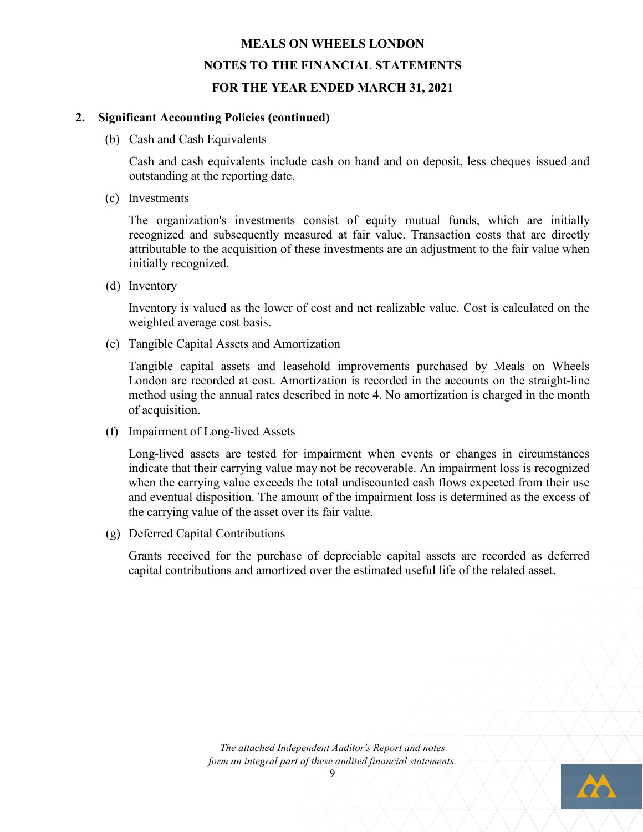#### **2. Significant Accounting Policies (continued)**

(b) Cash and Cash Equivalents

Cash and cash equivalents include cash on hand and on deposit, less cheques issued and outstanding at the reporting date.

(c) Investments

The organization's investments consist of equity mutual funds, which are initially recognized and subsequently measured at fair value. Transaction costs that are directly attributable to the acquisition of these investments are an adjustment to the fair value when initially recognized.

(d) Inventory

Inventory is valued as the lower of cost and net realizable value. Cost is calculated on the weighted average cost basis.

(e) Tangible Capital Assets and Amortization

Tangible capital assets and leasehold improvements purchased by Meals on Wheels London are recorded at cost. Amortization is recorded in the accounts on the straight-line method using the annual rates described in note 4. No amortization is charged in the month of acquisition.

(f) Impairment of Long-lived Assets

Long-lived assets are tested for impairment when events or changes in circumstances indicate that their carrying value may not be recoverable. An impairment loss is recognized when the carrying value exceeds the total undiscounted cash flows expected from their use and eventual disposition. The amount of the impairment loss is determined as the excess of the carrying value of the asset over its fair value.

(g) Deferred Capital Contributions

Grants received for the purchase of depreciable capital assets are recorded as deferred capital contributions and amortized over the estimated useful life of the related asset.

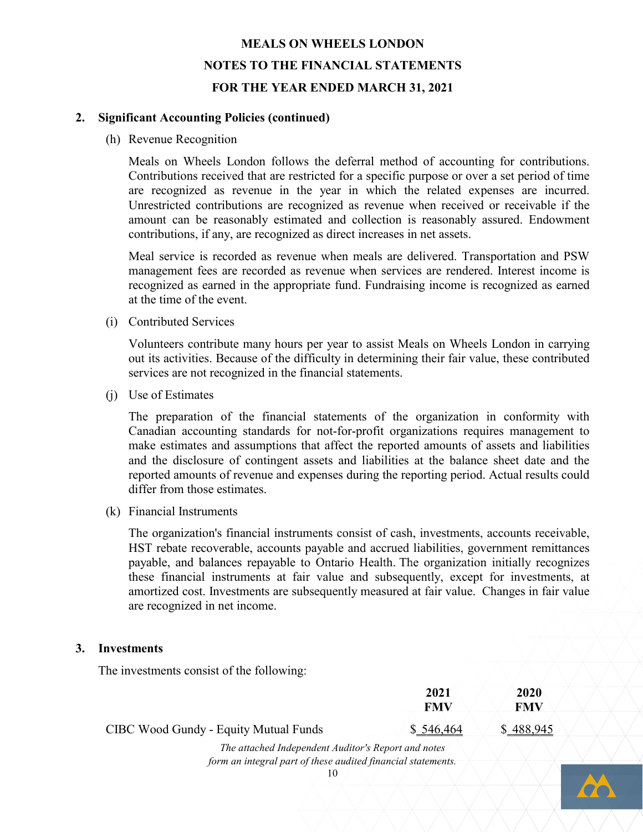#### **2. Significant Accounting Policies (continued)**

(h) Revenue Recognition

Meals on Wheels London follows the deferral method of accounting for contributions. Contributions received that are restricted for a specific purpose or over a set period of time are recognized as revenue in the year in which the related expenses are incurred. Unrestricted contributions are recognized as revenue when received or receivable if the amount can be reasonably estimated and collection is reasonably assured. Endowment contributions, if any, are recognized as direct increases in net assets.

Meal service is recorded as revenue when meals are delivered. Transportation and PSW management fees are recorded as revenue when services are rendered. Interest income is recognized as earned in the appropriate fund. Fundraising income is recognized as earned at the time of the event.

(i) Contributed Services

Volunteers contribute many hours per year to assist Meals on Wheels London in carrying out its activities. Because of the difficulty in determining their fair value, these contributed services are not recognized in the financial statements.

(j) Use of Estimates

The preparation of the financial statements of the organization in conformity with Canadian accounting standards for not-for-profit organizations requires management to make estimates and assumptions that affect the reported amounts of assets and liabilities and the disclosure of contingent assets and liabilities at the balance sheet date and the reported amounts of revenue and expenses during the reporting period. Actual results could differ from those estimates.

(k) Financial Instruments

The organization's financial instruments consist of cash, investments, accounts receivable, HST rebate recoverable, accounts payable and accrued liabilities, government remittances payable, and balances repayable to Ontario Health. The organization initially recognizes these financial instruments at fair value and subsequently, except for investments, at amortized cost. Investments are subsequently measured at fair value. Changes in fair value are recognized in net income.

#### **3. Investments**

The investments consist of the following:

|                                                     | 2021<br>FMV | 2020<br>FMV |
|-----------------------------------------------------|-------------|-------------|
| CIBC Wood Gundy - Equity Mutual Funds               | \$546,464   | \$488,945   |
| The attached Independent Auditor's Report and notes |             |             |

*form an integral part of these audited financial statements.*

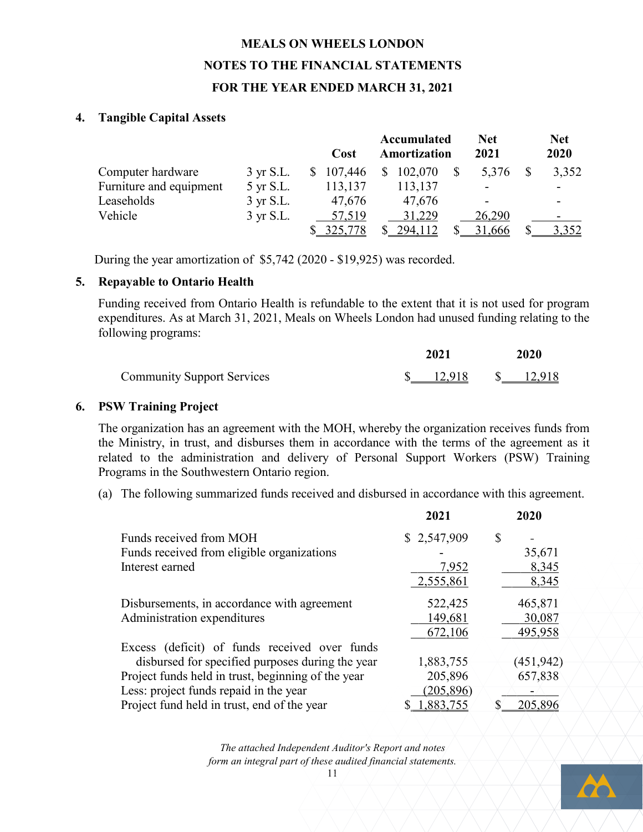#### **4. Tangible Capital Assets**

|                         |                     | Cost      |                | Accumulated<br>Amortization | Net<br>2021 | <b>Net</b><br>2020 |
|-------------------------|---------------------|-----------|----------------|-----------------------------|-------------|--------------------|
| Computer hardware       | $3 \text{ yr}$ S.L. | \$107,446 | $\mathbb{S}^-$ | 102,070                     | 5,376       | 3,352              |
| Furniture and equipment | 5 yr S.L.           | 113,137   |                | 113,137                     |             |                    |
| Leaseholds              | $3 \text{ yr S.L.}$ | 47,676    |                | 47,676                      |             |                    |
| Vehicle                 | 3 yr S.L.           | 57,519    |                | 31,229                      | 26,290      |                    |
|                         |                     | 325,778   |                | 294,112                     | 31,666      | 3,352              |

During the year amortization of \$5,742 (2020 - \$19,925) was recorded.

#### **5. Repayable to Ontario Health**

Funding received from Ontario Health is refundable to the extent that it is not used for program expenditures. As at March 31, 2021, Meals on Wheels London had unused funding relating to the following programs:

|                                   | 2021   |  |        |
|-----------------------------------|--------|--|--------|
| <b>Community Support Services</b> | 12,918 |  | 12,918 |

#### **6. PSW Training Project**

The organization has an agreement with the MOH, whereby the organization receives funds from the Ministry, in trust, and disburses them in accordance with the terms of the agreement as it related to the administration and delivery of Personal Support Workers (PSW) Training Programs in the Southwestern Ontario region.

(a) The following summarized funds received and disbursed in accordance with this agreement.

|                                                    | 2021        | 2020       |
|----------------------------------------------------|-------------|------------|
| Funds received from MOH                            | \$2,547,909 | \$         |
| Funds received from eligible organizations         |             | 35,671     |
| Interest earned                                    | 7,952       | 8,345      |
|                                                    | 2,555,861   | 8,345      |
| Disbursements, in accordance with agreement        | 522,425     | 465,871    |
| Administration expenditures                        | 149,681     | 30,087     |
|                                                    | 672,106     | 495,958    |
| Excess (deficit) of funds received over funds      |             |            |
| disbursed for specified purposes during the year   | 1,883,755   | (451, 942) |
| Project funds held in trust, beginning of the year | 205,896     | 657,838    |
| Less: project funds repaid in the year             | (205, 896)  |            |
| Project fund held in trust, end of the year        | 1,883,755   | 205,896    |

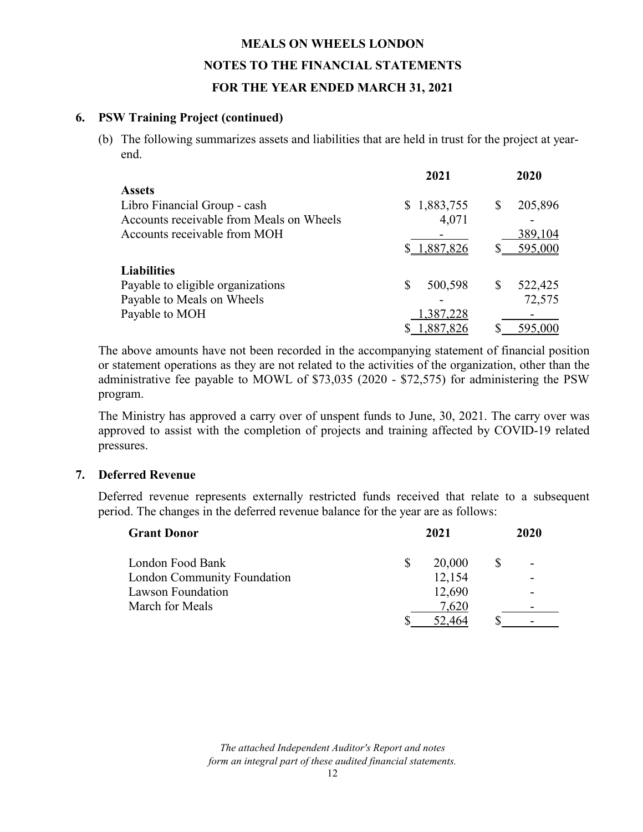#### **6. PSW Training Project (continued)**

(b) The following summarizes assets and liabilities that are held in trust for the project at yearend.

|                                          | 2021         | 2020          |
|------------------------------------------|--------------|---------------|
| <b>Assets</b>                            |              |               |
| Libro Financial Group - cash             | \$1,883,755  | 205,896<br>S  |
| Accounts receivable from Meals on Wheels | 4,071        |               |
| Accounts receivable from MOH             |              | 389,104       |
|                                          | \$1,887,826  | 595,000       |
| <b>Liabilities</b>                       |              |               |
| Payable to eligible organizations        | S<br>500,598 | 522,425<br>\$ |
| Payable to Meals on Wheels               |              | 72,575        |
| Payable to MOH                           | 1,387,228    |               |
|                                          | 1,887,826    | 595,000       |

The above amounts have not been recorded in the accompanying statement of financial position or statement operations as they are not related to the activities of the organization, other than the administrative fee payable to MOWL of \$73,035 (2020 - \$72,575) for administering the PSW program.

The Ministry has approved a carry over of unspent funds to June, 30, 2021. The carry over was approved to assist with the completion of projects and training affected by COVID-19 related pressures.

#### **7. Deferred Revenue**

Deferred revenue represents externally restricted funds received that relate to a subsequent period. The changes in the deferred revenue balance for the year are as follows:

| <b>Grant Donor</b>          |          | 2021   | 2020 |  |  |
|-----------------------------|----------|--------|------|--|--|
| London Food Bank            | <b>S</b> | 20,000 |      |  |  |
| London Community Foundation |          | 12,154 |      |  |  |
| <b>Lawson Foundation</b>    |          | 12,690 |      |  |  |
| March for Meals             |          | 7,620  |      |  |  |
|                             |          | 52.464 |      |  |  |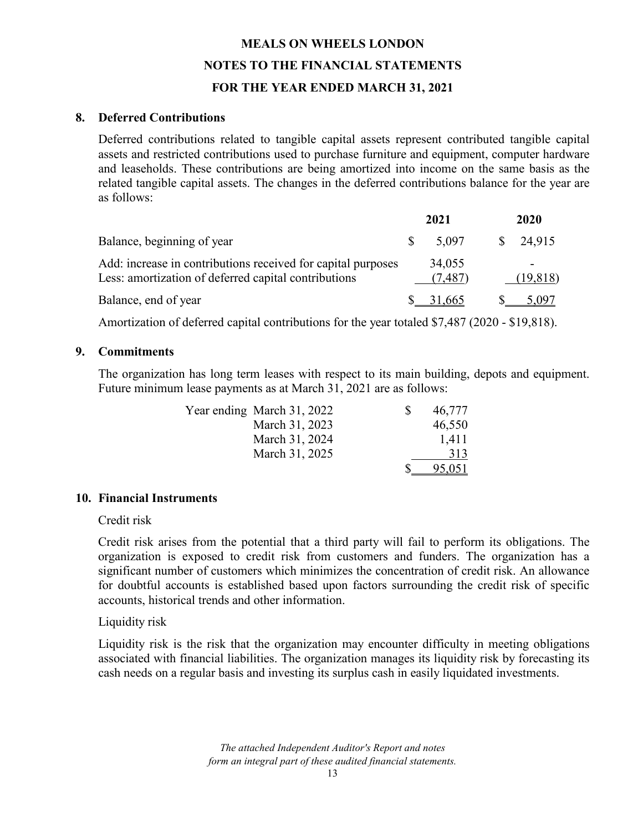#### **8. Deferred Contributions**

Deferred contributions related to tangible capital assets represent contributed tangible capital assets and restricted contributions used to purchase furniture and equipment, computer hardware and leaseholds. These contributions are being amortized into income on the same basis as the related tangible capital assets. The changes in the deferred contributions balance for the year are as follows:

|                                                                                                                      |    | 2021              |  | 2020                |  |
|----------------------------------------------------------------------------------------------------------------------|----|-------------------|--|---------------------|--|
| Balance, beginning of year                                                                                           | -S | 5.097             |  | $\frac{\$}{24.915}$ |  |
| Add: increase in contributions received for capital purposes<br>Less: amortization of deferred capital contributions |    | 34,055<br>(7,487) |  | (19, 818)           |  |
| Balance, end of year                                                                                                 |    | 31,665            |  | 5.097               |  |

Amortization of deferred capital contributions for the year totaled \$7,487 (2020 - \$19,818).

#### **9. Commitments**

The organization has long term leases with respect to its main building, depots and equipment. Future minimum lease payments as at March 31, 2021 are as follows:

| Year ending March 31, 2022 | 46,777        |
|----------------------------|---------------|
| March 31, 2023             | 46,550        |
| March 31, 2024             | 1,411         |
| March 31, 2025             | 313           |
|                            | <u>95,051</u> |

#### **10. Financial Instruments**

Credit risk

Credit risk arises from the potential that a third party will fail to perform its obligations. The organization is exposed to credit risk from customers and funders. The organization has a significant number of customers which minimizes the concentration of credit risk. An allowance for doubtful accounts is established based upon factors surrounding the credit risk of specific accounts, historical trends and other information.

#### Liquidity risk

Liquidity risk is the risk that the organization may encounter difficulty in meeting obligations associated with financial liabilities. The organization manages its liquidity risk by forecasting its cash needs on a regular basis and investing its surplus cash in easily liquidated investments.